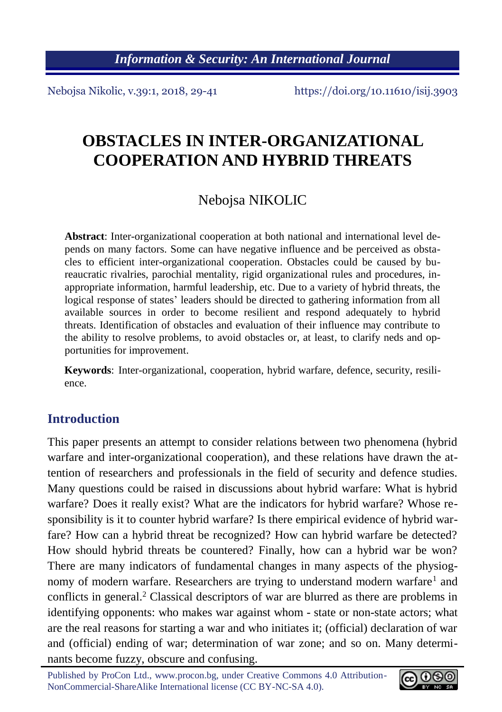*Information & Security: An International Journal*

Nebojsa Nikolic, v.39:1, 2018, 29-41 https://doi.org/10.11610/isij.3903

# **OBSTACLES IN INTER-ORGANIZATIONAL COOPERATION AND HYBRID THREATS**

## Nebojsa NIKOLIC

**Abstract**: Inter-organizational cooperation at both national and international level depends on many factors. Some can have negative influence and be perceived as obstacles to efficient inter-organizational cooperation. Obstacles could be caused by bureaucratic rivalries, parochial mentality, rigid organizational rules and procedures, inappropriate information, harmful leadership, etc. Due to a variety of hybrid threats, the logical response of states' leaders should be directed to gathering information from all available sources in order to become resilient and respond adequately to hybrid threats. Identification of obstacles and evaluation of their influence may contribute to the ability to resolve problems, to avoid obstacles or, at least, to clarify neds and opportunities for improvement.

**Keywords**: Inter-organizational, cooperation, hybrid warfare, defence, security, resilience.

## **Introduction**

This paper presents an attempt to consider relations between two phenomena (hybrid warfare and inter-organizational cooperation), and these relations have drawn the attention of researchers and professionals in the field of security and defence studies. Many questions could be raised in discussions about hybrid warfare: What is hybrid warfare? Does it really exist? What are the indicators for hybrid warfare? Whose responsibility is it to counter hybrid warfare? Is there empirical evidence of hybrid warfare? How can a hybrid threat be recognized? How can hybrid warfare be detected? How should hybrid threats be countered? Finally, how can a hybrid war be won? There are many indicators of fundamental changes in many aspects of the physiognomy of modern warfare. Researchers are trying to understand modern warfare<sup>1</sup> and conflicts in general.<sup>2</sup> Classical descriptors of war are blurred as there are problems in identifying opponents: who makes war against whom - state or non-state actors; what are the real reasons for starting a war and who initiates it; (official) declaration of war and (official) ending of war; determination of war zone; and so on. Many determinants become fuzzy, obscure and confusing.

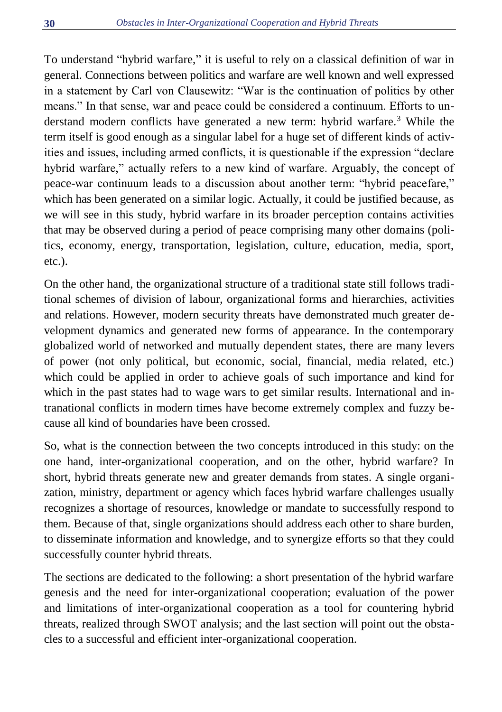To understand "hybrid warfare," it is useful to rely on a classical definition of war in general. Connections between politics and warfare are well known and well expressed in a statement by Carl von Clausewitz: "War is the continuation of politics by other means." In that sense, war and peace could be considered a continuum. Efforts to understand modern conflicts have generated a new term: hybrid warfare.<sup>3</sup> While the term itself is good enough as a singular label for a huge set of different kinds of activities and issues, including armed conflicts, it is questionable if the expression "declare hybrid warfare," actually refers to a new kind of warfare. Arguably, the concept of peace-war continuum leads to a discussion about another term: "hybrid peacefare," which has been generated on a similar logic. Actually, it could be justified because, as we will see in this study, hybrid warfare in its broader perception contains activities that may be observed during a period of peace comprising many other domains (politics, economy, energy, transportation, legislation, culture, education, media, sport, etc.).

On the other hand, the organizational structure of a traditional state still follows traditional schemes of division of labour, organizational forms and hierarchies, activities and relations. However, modern security threats have demonstrated much greater development dynamics and generated new forms of appearance. In the contemporary globalized world of networked and mutually dependent states, there are many levers of power (not only political, but economic, social, financial, media related, etc.) which could be applied in order to achieve goals of such importance and kind for which in the past states had to wage wars to get similar results. International and intranational conflicts in modern times have become extremely complex and fuzzy because all kind of boundaries have been crossed.

So, what is the connection between the two concepts introduced in this study: on the one hand, inter-organizational cooperation, and on the other, hybrid warfare? In short, hybrid threats generate new and greater demands from states. A single organization, ministry, department or agency which faces hybrid warfare challenges usually recognizes a shortage of resources, knowledge or mandate to successfully respond to them. Because of that, single organizations should address each other to share burden, to disseminate information and knowledge, and to synergize efforts so that they could successfully counter hybrid threats.

The sections are dedicated to the following: a short presentation of the hybrid warfare genesis and the need for inter-organizational cooperation; evaluation of the power and limitations of inter-organizational cooperation as a tool for countering hybrid threats, realized through SWOT analysis; and the last section will point out the obstacles to a successful and efficient inter-organizational cooperation.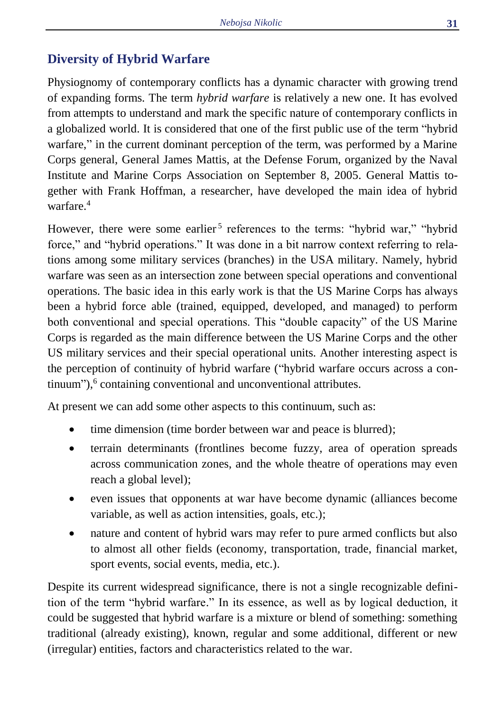## **Diversity of Hybrid Warfare**

Physiognomy of contemporary conflicts has a dynamic character with growing trend of expanding forms. The term *hybrid warfare* is relatively a new one. It has evolved from attempts to understand and mark the specific nature of contemporary conflicts in a globalized world. It is considered that one of the first public use of the term "hybrid warfare," in the current dominant perception of the term, was performed by a Marine Corps general, General James Mattis, at the Defense Forum, organized by the Naval Institute and Marine Corps Association on September 8, 2005. General Mattis together with Frank Hoffman, a researcher, have developed the main idea of hybrid warfare.<sup>4</sup>

However, there were some earlier<sup>5</sup> references to the terms: "hybrid war," "hybrid force," and "hybrid operations." It was done in a bit narrow context referring to relations among some military services (branches) in the USA military. Namely, hybrid warfare was seen as an intersection zone between special operations and conventional operations. The basic idea in this early work is that the US Marine Corps has always been a hybrid force able (trained, equipped, developed, and managed) to perform both conventional and special operations. This "double capacity" of the US Marine Corps is regarded as the main difference between the US Marine Corps and the other US military services and their special operational units. Another interesting aspect is the perception of continuity of hybrid warfare ("hybrid warfare occurs across a continuum"), 6 containing conventional and unconventional attributes.

At present we can add some other aspects to this continuum, such as:

- time dimension (time border between war and peace is blurred);
- terrain determinants (frontlines become fuzzy, area of operation spreads across communication zones, and the whole theatre of operations may even reach a global level);
- even issues that opponents at war have become dynamic (alliances become variable, as well as action intensities, goals, etc.);
- nature and content of hybrid wars may refer to pure armed conflicts but also to almost all other fields (economy, transportation, trade, financial market, sport events, social events, media, etc.).

Despite its current widespread significance, there is not a single recognizable definition of the term "hybrid warfare." In its essence, as well as by logical deduction, it could be suggested that hybrid warfare is a mixture or blend of something: something traditional (already existing), known, regular and some additional, different or new (irregular) entities, factors and characteristics related to the war.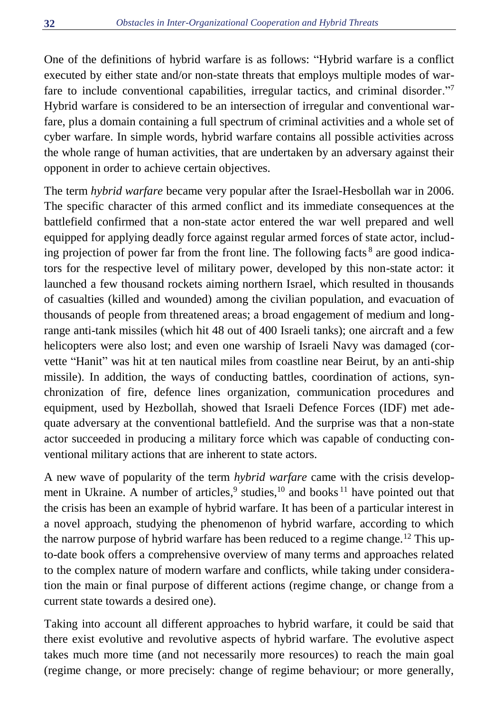One of the definitions of hybrid warfare is as follows: "Hybrid warfare is a conflict executed by either state and/or non-state threats that employs multiple modes of warfare to include conventional capabilities, irregular tactics, and criminal disorder."<sup>7</sup> Hybrid warfare is considered to be an intersection of irregular and conventional warfare, plus a domain containing a full spectrum of criminal activities and a whole set of cyber warfare. In simple words, hybrid warfare contains all possible activities across the whole range of human activities, that are undertaken by an adversary against their opponent in order to achieve certain objectives.

The term *hybrid warfare* became very popular after the Israel-Hesbollah war in 2006. The specific character of this armed conflict and its immediate consequences at the battlefield confirmed that a non-state actor entered the war well prepared and well equipped for applying deadly force against regular armed forces of state actor, including projection of power far from the front line. The following facts<sup>8</sup> are good indicators for the respective level of military power, developed by this non-state actor: it launched a few thousand rockets aiming northern Israel, which resulted in thousands of casualties (killed and wounded) among the civilian population, and evacuation of thousands of people from threatened areas; a broad engagement of medium and longrange anti-tank missiles (which hit 48 out of 400 Israeli tanks); one aircraft and a few helicopters were also lost; and even one warship of Israeli Navy was damaged (corvette "Hanit" was hit at ten nautical miles from coastline near Beirut, by an anti-ship missile). In addition, the ways of conducting battles, coordination of actions, synchronization of fire, defence lines organization, communication procedures and equipment, used by Hezbollah, showed that Israeli Defence Forces (IDF) met adequate adversary at the conventional battlefield. And the surprise was that a non-state actor succeeded in producing a military force which was capable of conducting conventional military actions that are inherent to state actors.

A new wave of popularity of the term *hybrid warfare* came with the crisis development in Ukraine. A number of articles,<sup>9</sup> studies,<sup>10</sup> and books<sup>11</sup> have pointed out that the crisis has been an example of hybrid warfare. It has been of a particular interest in a novel approach, studying the phenomenon of hybrid warfare, according to which the narrow purpose of hybrid warfare has been reduced to a regime change.<sup>12</sup> This upto-date book offers a comprehensive overview of many terms and approaches related to the complex nature of modern warfare and conflicts, while taking under consideration the main or final purpose of different actions (regime change, or change from a current state towards a desired one).

Taking into account all different approaches to hybrid warfare, it could be said that there exist evolutive and revolutive aspects of hybrid warfare. The evolutive aspect takes much more time (and not necessarily more resources) to reach the main goal (regime change, or more precisely: change of regime behaviour; or more generally,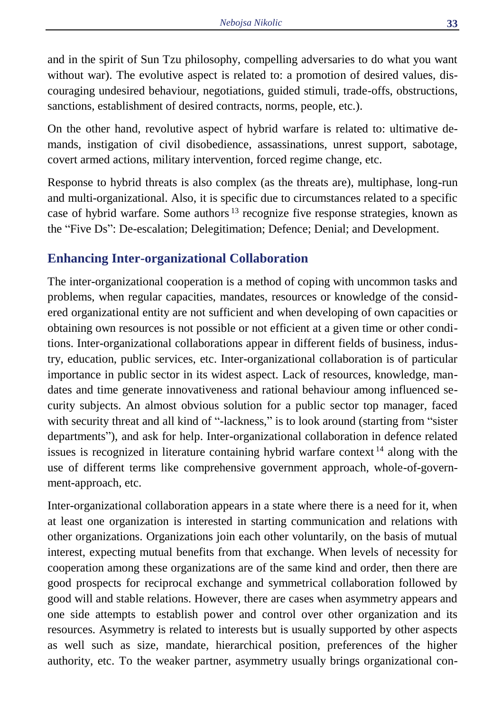and in the spirit of Sun Tzu philosophy, compelling adversaries to do what you want without war). The evolutive aspect is related to: a promotion of desired values, discouraging undesired behaviour, negotiations, guided stimuli, trade-offs, obstructions, sanctions, establishment of desired contracts, norms, people, etc.).

On the other hand, revolutive aspect of hybrid warfare is related to: ultimative demands, instigation of civil disobedience, assassinations, unrest support, sabotage, covert armed actions, military intervention, forced regime change, etc.

Response to hybrid threats is also complex (as the threats are), multiphase, long-run and multi-organizational. Also, it is specific due to circumstances related to a specific case of hybrid warfare. Some authors <sup>13</sup> recognize five response strategies, known as the "Five Ds": De-escalation; Delegitimation; Defence; Denial; and Development.

## **Enhancing Inter-organizational Collaboration**

The inter-organizational cooperation is a method of coping with uncommon tasks and problems, when regular capacities, mandates, resources or knowledge of the considered organizational entity are not sufficient and when developing of own capacities or obtaining own resources is not possible or not efficient at a given time or other conditions. Inter-organizational collaborations appear in different fields of business, industry, education, public services, etc. Inter-organizational collaboration is of particular importance in public sector in its widest aspect. Lack of resources, knowledge, mandates and time generate innovativeness and rational behaviour among influenced security subjects. An almost obvious solution for a public sector top manager, faced with security threat and all kind of "-lackness," is to look around (starting from "sister departments"), and ask for help. Inter-organizational collaboration in defence related issues is recognized in literature containing hybrid warfare context<sup>14</sup> along with the use of different terms like comprehensive government approach, whole-of-government-approach, etc.

Inter-organizational collaboration appears in a state where there is a need for it, when at least one organization is interested in starting communication and relations with other organizations. Organizations join each other voluntarily, on the basis of mutual interest, expecting mutual benefits from that exchange. When levels of necessity for cooperation among these organizations are of the same kind and order, then there are good prospects for reciprocal exchange and symmetrical collaboration followed by good will and stable relations. However, there are cases when asymmetry appears and one side attempts to establish power and control over other organization and its resources. Asymmetry is related to interests but is usually supported by other aspects as well such as size, mandate, hierarchical position, preferences of the higher authority, etc. To the weaker partner, asymmetry usually brings organizational con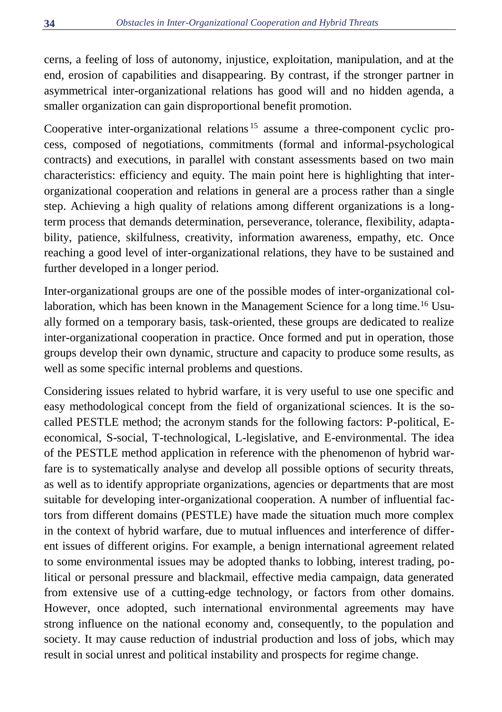cerns, a feeling of loss of autonomy, injustice, exploitation, manipulation, and at the end, erosion of capabilities and disappearing. By contrast, if the stronger partner in asymmetrical inter-organizational relations has good will and no hidden agenda, a smaller organization can gain disproportional benefit promotion.

Cooperative inter-organizational relations <sup>15</sup> assume a three-component cyclic process, composed of negotiations, commitments (formal and informal-psychological contracts) and executions, in parallel with constant assessments based on two main characteristics: efficiency and equity. The main point here is highlighting that interorganizational cooperation and relations in general are a process rather than a single step. Achieving a high quality of relations among different organizations is a longterm process that demands determination, perseverance, tolerance, flexibility, adaptability, patience, skilfulness, creativity, information awareness, empathy, etc. Once reaching a good level of inter-organizational relations, they have to be sustained and further developed in a longer period.

Inter-organizational groups are one of the possible modes of inter-organizational collaboration, which has been known in the Management Science for a long time.<sup>16</sup> Usually formed on a temporary basis, task-oriented, these groups are dedicated to realize inter-organizational cooperation in practice. Once formed and put in operation, those groups develop their own dynamic, structure and capacity to produce some results, as well as some specific internal problems and questions.

Considering issues related to hybrid warfare, it is very useful to use one specific and easy methodological concept from the field of organizational sciences. It is the socalled PESTLE method; the acronym stands for the following factors: P-political, Eeconomical, S-social, T-technological, L-legislative, and E-environmental. The idea of the PESTLE method application in reference with the phenomenon of hybrid warfare is to systematically analyse and develop all possible options of security threats, as well as to identify appropriate organizations, agencies or departments that are most suitable for developing inter-organizational cooperation. A number of influential factors from different domains (PESTLE) have made the situation much more complex in the context of hybrid warfare, due to mutual influences and interference of different issues of different origins. For example, a benign international agreement related to some environmental issues may be adopted thanks to lobbing, interest trading, political or personal pressure and blackmail, effective media campaign, data generated from extensive use of a cutting-edge technology, or factors from other domains. However, once adopted, such international environmental agreements may have strong influence on the national economy and, consequently, to the population and society. It may cause reduction of industrial production and loss of jobs, which may result in social unrest and political instability and prospects for regime change.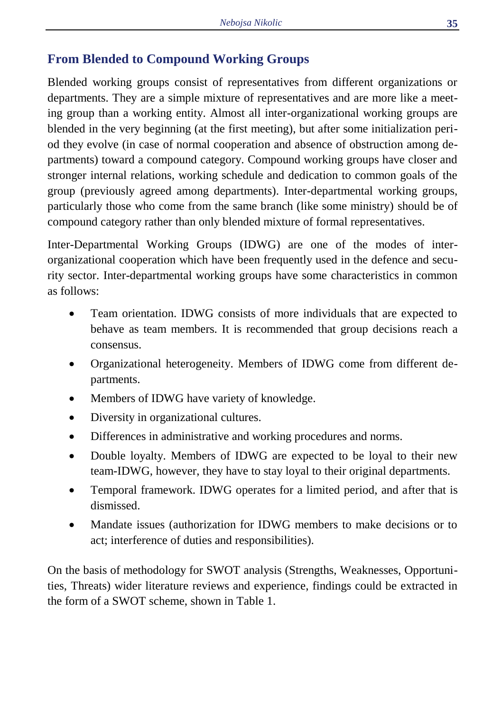## **From Blended to Compound Working Groups**

Blended working groups consist of representatives from different organizations or departments. They are a simple mixture of representatives and are more like a meeting group than a working entity. Almost all inter-organizational working groups are blended in the very beginning (at the first meeting), but after some initialization period they evolve (in case of normal cooperation and absence of obstruction among departments) toward a compound category. Compound working groups have closer and stronger internal relations, working schedule and dedication to common goals of the group (previously agreed among departments). Inter-departmental working groups, particularly those who come from the same branch (like some ministry) should be of compound category rather than only blended mixture of formal representatives.

Inter-Departmental Working Groups (IDWG) are one of the modes of interorganizational cooperation which have been frequently used in the defence and security sector. Inter-departmental working groups have some characteristics in common as follows:

- Team orientation. IDWG consists of more individuals that are expected to behave as team members. It is recommended that group decisions reach a consensus.
- Organizational heterogeneity. Members of IDWG come from different departments.
- Members of IDWG have variety of knowledge.
- Diversity in organizational cultures.
- Differences in administrative and working procedures and norms.
- Double loyalty. Members of IDWG are expected to be loyal to their new team-IDWG, however, they have to stay loyal to their original departments.
- Temporal framework. IDWG operates for a limited period, and after that is dismissed.
- Mandate issues (authorization for IDWG members to make decisions or to act; interference of duties and responsibilities).

On the basis of methodology for SWOT analysis (Strengths, Weaknesses, Opportunities, Threats) wider literature reviews and experience, findings could be extracted in the form of a SWOT scheme, shown in Table 1.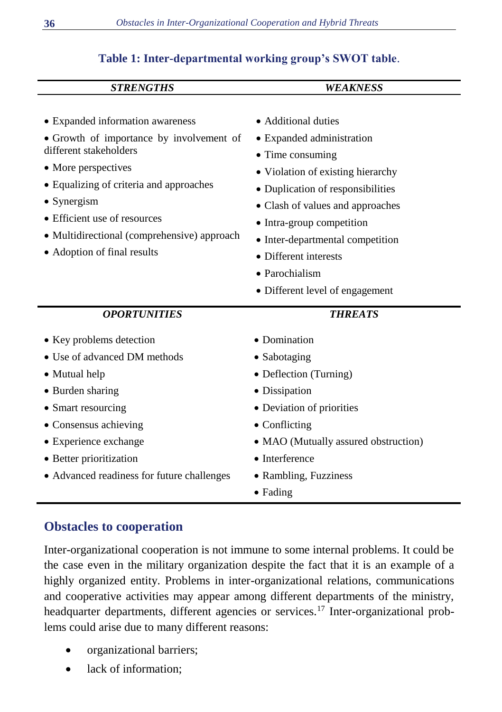#### **Table 1: Inter-departmental working group's SWOT table**.

| <b>STRENGTHS</b>                                                                                                                                                                                                                               | <b>WEAKNESS</b>                                                                                                                                                                                                                              |
|------------------------------------------------------------------------------------------------------------------------------------------------------------------------------------------------------------------------------------------------|----------------------------------------------------------------------------------------------------------------------------------------------------------------------------------------------------------------------------------------------|
| • Expanded information awareness<br>• Growth of importance by involvement of<br>different stakeholders<br>• More perspectives                                                                                                                  | • Additional duties<br>• Expanded administration<br>• Time consuming<br>• Violation of existing hierarchy                                                                                                                                    |
| • Equalizing of criteria and approaches<br>$\bullet$ Synergism<br>• Efficient use of resources<br>• Multidirectional (comprehensive) approach<br>• Adoption of final results                                                                   | • Duplication of responsibilities<br>• Clash of values and approaches<br>• Intra-group competition<br>• Inter-departmental competition<br>• Different interests<br>• Parochialism<br>• Different level of engagement                         |
| <b>OPORTUNITIES</b>                                                                                                                                                                                                                            | <b>THREATS</b>                                                                                                                                                                                                                               |
| • Key problems detection<br>• Use of advanced DM methods<br>• Mutual help<br>• Burden sharing<br>• Smart resourcing<br>• Consensus achieving<br>• Experience exchange<br>• Better prioritization<br>• Advanced readiness for future challenges | • Domination<br>$\bullet$ Sabotaging<br>• Deflection (Turning)<br>• Dissipation<br>• Deviation of priorities<br>$\bullet$ Conflicting<br>• MAO (Mutually assured obstruction)<br>• Interference<br>· Rambling, Fuzziness<br>$\bullet$ Fading |

## **Obstacles to cooperation**

Inter-organizational cooperation is not immune to some internal problems. It could be the case even in the military organization despite the fact that it is an example of a highly organized entity. Problems in inter-organizational relations, communications and cooperative activities may appear among different departments of the ministry, headquarter departments, different agencies or services.<sup>17</sup> Inter-organizational problems could arise due to many different reasons:

- organizational barriers;
- lack of information: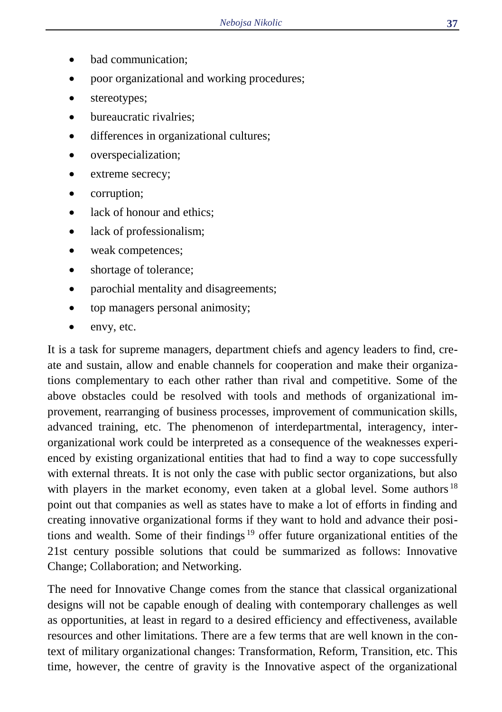- bad communication:
- poor organizational and working procedures;
- stereotypes;
- bureaucratic rivalries:
- differences in organizational cultures;
- overspecialization;
- extreme secrecy:
- corruption;
- lack of honour and ethics;
- lack of professionalism;
- weak competences;
- shortage of tolerance;
- parochial mentality and disagreements;
- top managers personal animosity;
- envy, etc.

It is a task for supreme managers, department chiefs and agency leaders to find, create and sustain, allow and enable channels for cooperation and make their organizations complementary to each other rather than rival and competitive. Some of the above obstacles could be resolved with tools and methods of organizational improvement, rearranging of business processes, improvement of communication skills, advanced training, etc. The phenomenon of interdepartmental, interagency, interorganizational work could be interpreted as a consequence of the weaknesses experienced by existing organizational entities that had to find a way to cope successfully with external threats. It is not only the case with public sector organizations, but also with players in the market economy, even taken at a global level. Some authors  $18$ point out that companies as well as states have to make a lot of efforts in finding and creating innovative organizational forms if they want to hold and advance their positions and wealth. Some of their findings <sup>19</sup> offer future organizational entities of the 21st century possible solutions that could be summarized as follows: Innovative Change; Collaboration; and Networking.

The need for Innovative Change comes from the stance that classical organizational designs will not be capable enough of dealing with contemporary challenges as well as opportunities, at least in regard to a desired efficiency and effectiveness, available resources and other limitations. There are a few terms that are well known in the context of military organizational changes: Transformation, Reform, Transition, etc. This time, however, the centre of gravity is the Innovative aspect of the organizational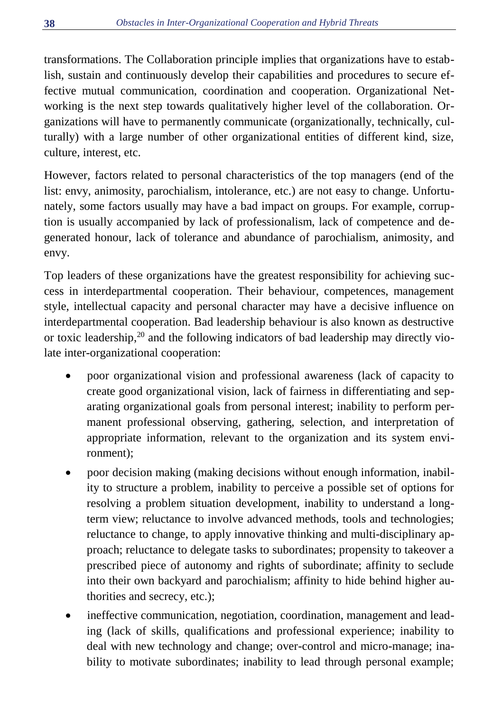transformations. The Collaboration principle implies that organizations have to establish, sustain and continuously develop their capabilities and procedures to secure effective mutual communication, coordination and cooperation. Organizational Networking is the next step towards qualitatively higher level of the collaboration. Organizations will have to permanently communicate (organizationally, technically, culturally) with a large number of other organizational entities of different kind, size, culture, interest, etc.

However, factors related to personal characteristics of the top managers (end of the list: envy, animosity, parochialism, intolerance, etc.) are not easy to change. Unfortunately, some factors usually may have a bad impact on groups. For example, corruption is usually accompanied by lack of professionalism, lack of competence and degenerated honour, lack of tolerance and abundance of parochialism, animosity, and envy.

Top leaders of these organizations have the greatest responsibility for achieving success in interdepartmental cooperation. Their behaviour, competences, management style, intellectual capacity and personal character may have a decisive influence on interdepartmental cooperation. Bad leadership behaviour is also known as destructive or toxic leadership, <sup>20</sup> and the following indicators of bad leadership may directly violate inter-organizational cooperation:

- poor organizational vision and professional awareness (lack of capacity to create good organizational vision, lack of fairness in differentiating and separating organizational goals from personal interest; inability to perform permanent professional observing, gathering, selection, and interpretation of appropriate information, relevant to the organization and its system environment);
- poor decision making (making decisions without enough information, inability to structure a problem, inability to perceive a possible set of options for resolving a problem situation development, inability to understand a longterm view; reluctance to involve advanced methods, tools and technologies; reluctance to change, to apply innovative thinking and multi-disciplinary approach; reluctance to delegate tasks to subordinates; propensity to takeover a prescribed piece of autonomy and rights of subordinate; affinity to seclude into their own backyard and parochialism; affinity to hide behind higher authorities and secrecy, etc.);
- ineffective communication, negotiation, coordination, management and leading (lack of skills, qualifications and professional experience; inability to deal with new technology and change; over-control and micro-manage; inability to motivate subordinates; inability to lead through personal example;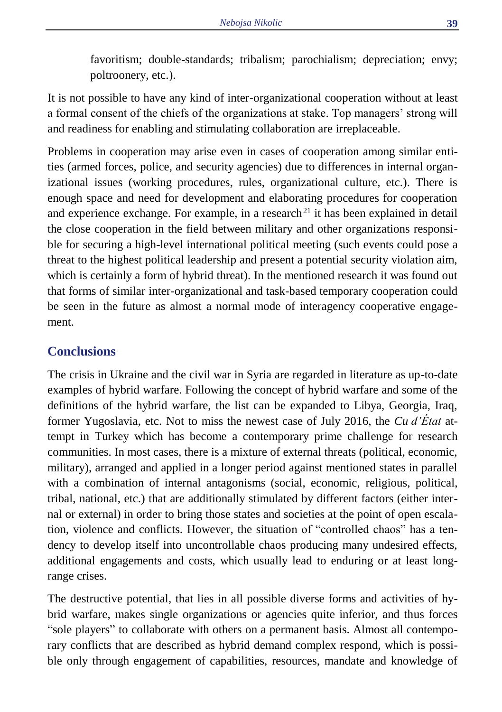favoritism; double-standards; tribalism; parochialism; depreciation; envy; poltroonery, etc.).

It is not possible to have any kind of inter-organizational cooperation without at least a formal consent of the chiefs of the organizations at stake. Top managers' strong will and readiness for enabling and stimulating collaboration are irreplaceable.

Problems in cooperation may arise even in cases of cooperation among similar entities (armed forces, police, and security agencies) due to differences in internal organizational issues (working procedures, rules, organizational culture, etc.). There is enough space and need for development and elaborating procedures for cooperation and experience exchange. For example, in a research<sup>21</sup> it has been explained in detail the close cooperation in the field between military and other organizations responsible for securing a high-level international political meeting (such events could pose a threat to the highest political leadership and present a potential security violation aim, which is certainly a form of hybrid threat). In the mentioned research it was found out that forms of similar inter-organizational and task-based temporary cooperation could be seen in the future as almost a normal mode of interagency cooperative engagement.

#### **Conclusions**

The crisis in Ukraine and the civil war in Syria are regarded in literature as up-to-date examples of hybrid warfare. Following the concept of hybrid warfare and some of the definitions of the hybrid warfare, the list can be expanded to Libya, Georgia, Iraq, former Yugoslavia, etc. Not to miss the newest case of July 2016, the *Cu d'État* attempt in Turkey which has become a contemporary prime challenge for research communities. In most cases, there is a mixture of external threats (political, economic, military), arranged and applied in a longer period against mentioned states in parallel with a combination of internal antagonisms (social, economic, religious, political, tribal, national, etc.) that are additionally stimulated by different factors (either internal or external) in order to bring those states and societies at the point of open escalation, violence and conflicts. However, the situation of "controlled chaos" has a tendency to develop itself into uncontrollable chaos producing many undesired effects, additional engagements and costs, which usually lead to enduring or at least longrange crises.

The destructive potential, that lies in all possible diverse forms and activities of hybrid warfare, makes single organizations or agencies quite inferior, and thus forces "sole players" to collaborate with others on a permanent basis. Almost all contemporary conflicts that are described as hybrid demand complex respond, which is possible only through engagement of capabilities, resources, mandate and knowledge of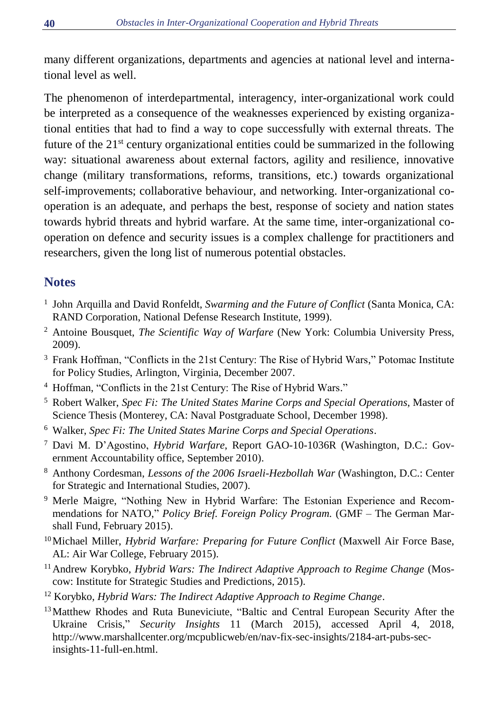many different organizations, departments and agencies at national level and international level as well.

The phenomenon of interdepartmental, interagency, inter-organizational work could be interpreted as a consequence of the weaknesses experienced by existing organizational entities that had to find a way to cope successfully with external threats. The future of the 21<sup>st</sup> century organizational entities could be summarized in the following way: situational awareness about external factors, agility and resilience, innovative change (military transformations, reforms, transitions, etc.) towards organizational self-improvements; collaborative behaviour, and networking. Inter-organizational cooperation is an adequate, and perhaps the best, response of society and nation states towards hybrid threats and hybrid warfare. At the same time, inter-organizational cooperation on defence and security issues is a complex challenge for practitioners and researchers, given the long list of numerous potential obstacles.

## **Notes**

- <sup>1</sup> John Arquilla and David Ronfeldt, *Swarming and the Future of Conflict* (Santa Monica, CA: RAND Corporation, National Defense Research Institute, 1999).
- <sup>2</sup> Antoine Bousquet, *The Scientific Way of Warfare* (New York: Columbia University Press, 2009).
- <sup>3</sup> Frank Hoffman, "Conflicts in the 21st Century: The Rise of Hybrid Wars," Potomac Institute for Policy Studies, Arlington, Virginia, December 2007.
- <sup>4</sup> Hoffman, "Conflicts in the 21st Century: The Rise of Hybrid Wars."
- <sup>5</sup> Robert Walker, *Spec Fi: The United States Marine Corps and Special Operations*, Master of Science Thesis (Monterey, CA: Naval Postgraduate School, December 1998).
- <sup>6</sup> Walker, *Spec Fi: The United States Marine Corps and Special Operations*.
- <sup>7</sup> Davi M. D'Agostino, *Hybrid Warfare*, Report GAO-10-1036R (Washington, D.C.: Government Accountability office, September 2010).
- <sup>8</sup> Anthony Cordesman, *Lessons of the 2006 Israeli-Hezbollah War* (Washington, D.C.: Center for Strategic and International Studies, 2007).
- <sup>9</sup> Merle Maigre, "Nothing New in Hybrid Warfare: The Estonian Experience and Recommendations for NATO," *Policy Brief. Foreign Policy Program.* (GMF – The German Marshall Fund, February 2015).
- <sup>10</sup>Michael Miller, *Hybrid Warfare: Preparing for Future Conflict* (Maxwell Air Force Base, AL: Air War College, February 2015).
- <sup>11</sup> Andrew Korvbko, *Hybrid Wars: The Indirect Adaptive Approach to Regime Change* (Moscow: Institute for Strategic Studies and Predictions, 2015).
- <sup>12</sup> Korybko, *Hybrid Wars: The Indirect Adaptive Approach to Regime Change*.
- <sup>13</sup> Matthew Rhodes and Ruta Buneviciute, "Baltic and Central European Security After the Ukraine Crisis," *Security Insights* 11 (March 2015), accessed April 4, 2018, http://www.marshallcenter.org/mcpublicweb/en/nav-fix-sec-insights/2184-art-pubs-secinsights-11-full-en.html.